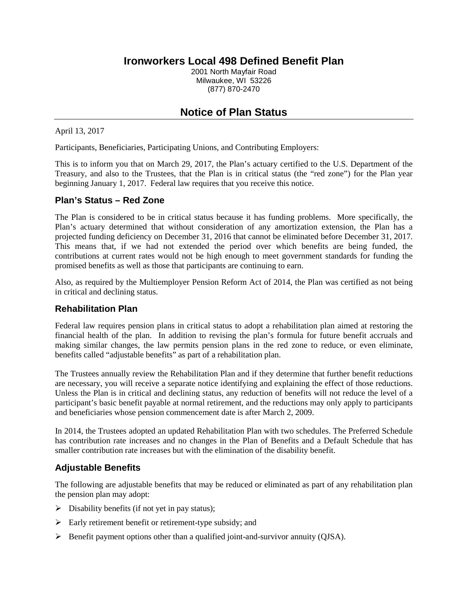## **Ironworkers Local 498 Defined Benefit Plan**

2001 North Mayfair Road Milwaukee, WI 53226 (877) 870-2470

# **Notice of Plan Status**

April 13, 2017

Participants, Beneficiaries, Participating Unions, and Contributing Employers:

This is to inform you that on March 29, 2017, the Plan's actuary certified to the U.S. Department of the Treasury, and also to the Trustees, that the Plan is in critical status (the "red zone") for the Plan year beginning January 1, 2017. Federal law requires that you receive this notice.

#### **Plan's Status – Red Zone**

The Plan is considered to be in critical status because it has funding problems. More specifically, the Plan's actuary determined that without consideration of any amortization extension, the Plan has a projected funding deficiency on December 31, 2016 that cannot be eliminated before December 31, 2017. This means that, if we had not extended the period over which benefits are being funded, the contributions at current rates would not be high enough to meet government standards for funding the promised benefits as well as those that participants are continuing to earn.

Also, as required by the Multiemployer Pension Reform Act of 2014, the Plan was certified as not being in critical and declining status.

#### **Rehabilitation Plan**

Federal law requires pension plans in critical status to adopt a rehabilitation plan aimed at restoring the financial health of the plan. In addition to revising the plan's formula for future benefit accruals and making similar changes, the law permits pension plans in the red zone to reduce, or even eliminate, benefits called "adjustable benefits" as part of a rehabilitation plan.

The Trustees annually review the Rehabilitation Plan and if they determine that further benefit reductions are necessary, you will receive a separate notice identifying and explaining the effect of those reductions. Unless the Plan is in critical and declining status, any reduction of benefits will not reduce the level of a participant's basic benefit payable at normal retirement, and the reductions may only apply to participants and beneficiaries whose pension commencement date is after March 2, 2009.

In 2014, the Trustees adopted an updated Rehabilitation Plan with two schedules. The Preferred Schedule has contribution rate increases and no changes in the Plan of Benefits and a Default Schedule that has smaller contribution rate increases but with the elimination of the disability benefit.

## **Adjustable Benefits**

The following are adjustable benefits that may be reduced or eliminated as part of any rehabilitation plan the pension plan may adopt:

- $\triangleright$  Disability benefits (if not yet in pay status);
- $\triangleright$  Early retirement benefit or retirement-type subsidy; and
- $\triangleright$  Benefit payment options other than a qualified joint-and-survivor annuity (QJSA).